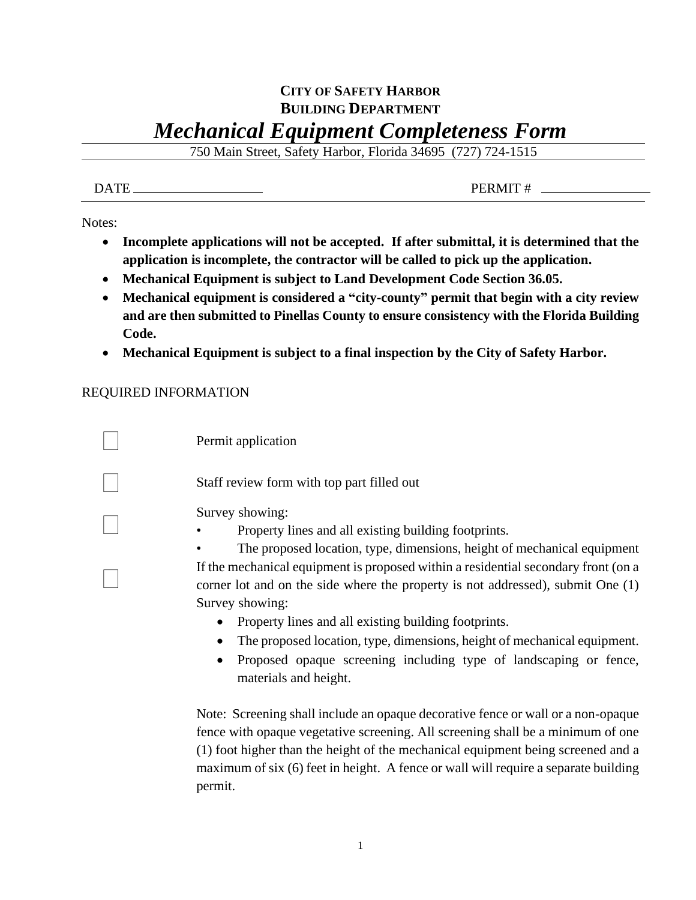## **CITY OF SAFETY HARBOR BUILDING DEPARTMENT** *Mechanical Equipment Completeness Form*

750 Main Street, Safety Harbor, Florida 34695 (727) 724-1515

DATE PERMIT #

Notes:

- **Incomplete applications will not be accepted. If after submittal, it is determined that the application is incomplete, the contractor will be called to pick up the application.**
- **Mechanical Equipment is subject to Land Development Code Section 36.05.**
- **Mechanical equipment is considered a "city-county" permit that begin with a city review and are then submitted to Pinellas County to ensure consistency with the Florida Building Code.**
- **Mechanical Equipment is subject to a final inspection by the City of Safety Harbor.**

## REQUIRED INFORMATION

| Permit application                                                                                                                                                                                                                          |
|---------------------------------------------------------------------------------------------------------------------------------------------------------------------------------------------------------------------------------------------|
| Staff review form with top part filled out                                                                                                                                                                                                  |
| Survey showing:<br>Property lines and all existing building footprints.<br>The proposed location, type, dimensions, height of mechanical equipment                                                                                          |
| If the mechanical equipment is proposed within a residential secondary front (on a<br>corner lot and on the side where the property is not addressed), submit One $(1)$<br>Survey showing:                                                  |
| Property lines and all existing building footprints.<br>The proposed location, type, dimensions, height of mechanical equipment.<br>Proposed opaque screening including type of landscaping or fence,<br>$\bullet$<br>materials and height. |

Note: Screening shall include an opaque decorative fence or wall or a non-opaque fence with opaque vegetative screening. All screening shall be a minimum of one (1) foot higher than the height of the mechanical equipment being screened and a maximum of six (6) feet in height. A fence or wall will require a separate building permit.